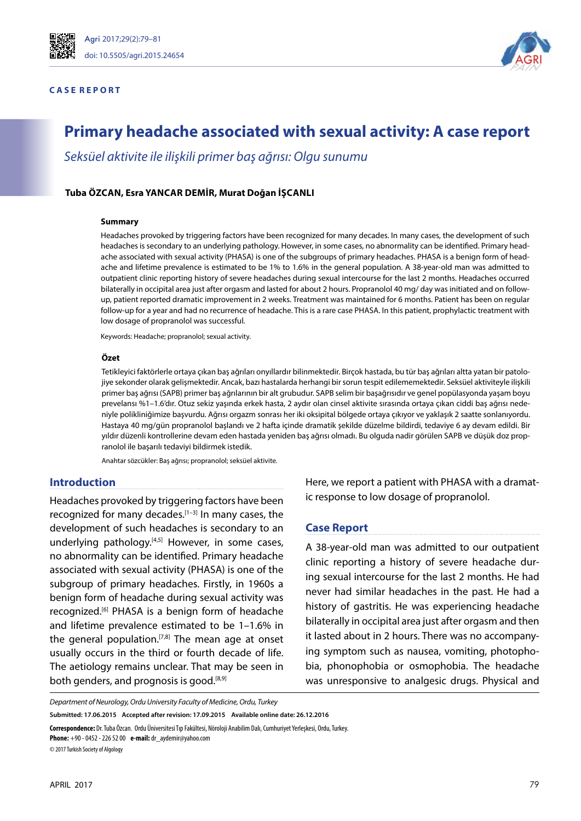

#### **C A S E R E P O R T**



# **Primary headache associated with sexual activity: A case report**

*Seksüel aktivite ile ilişkili primer baş ağrısı: Olgu sunumu*

## **Tuba ÖZCAN, Esra YANCAR DEMIR, Murat Doğan İŞCANLI**

#### **Summary**

Headaches provoked by triggering factors have been recognized for many decades. In many cases, the development of such headaches is secondary to an underlying pathology. However, in some cases, no abnormality can be identified. Primary headache associated with sexual activity (PHASA) is one of the subgroups of primary headaches. PHASA is a benign form of headache and lifetime prevalence is estimated to be 1% to 1.6% in the general population. A 38-year-old man was admitted to outpatient clinic reporting history of severe headaches during sexual intercourse for the last 2 months. Headaches occurred bilaterally in occipital area just after orgasm and lasted for about 2 hours. Propranolol 40 mg/ day was initiated and on followup, patient reported dramatic improvement in 2 weeks. Treatment was maintained for 6 months. Patient has been on regular follow-up for a year and had no recurrence of headache. This is a rare case PHASA. In this patient, prophylactic treatment with low dosage of propranolol was successful.

Keywords: Headache; propranolol; sexual activity.

#### **Özet**

Tetikleyici faktörlerle ortaya çıkan baş ağrıları onyıllardır bilinmektedir. Birçok hastada, bu tür baş ağrıları altta yatan bir patolojiye sekonder olarak gelişmektedir. Ancak, bazı hastalarda herhangi bir sorun tespit edilememektedir. Seksüel aktiviteyle ilişkili primer baş ağrısı (SAPB) primer baş ağrılarının bir alt grubudur. SAPB selim bir başağrısıdır ve genel popülasyonda yaşam boyu prevelansı %1–1.6'dır. Otuz sekiz yaşında erkek hasta, 2 aydır olan cinsel aktivite sırasında ortaya çıkan ciddi baş ağrısı nedeniyle polikliniğimize başvurdu. Ağrısı orgazm sonrası her iki oksipital bölgede ortaya çıkıyor ve yaklaşık 2 saatte sonlanıyordu. Hastaya 40 mg/gün propranolol başlandı ve 2 hafta içinde dramatik şekilde düzelme bildirdi, tedaviye 6 ay devam edildi. Bir yıldır düzenli kontrollerine devam eden hastada yeniden baş ağrısı olmadı. Bu olguda nadir görülen SAPB ve düşük doz propranolol ile başarılı tedaviyi bildirmek istedik.

Anahtar sözcükler: Baş ağrısı; propranolol; seksüel aktivite.

## **Introduction**

Headaches provoked by triggering factors have been recognized for many decades.<sup>[1-3]</sup> In many cases, the development of such headaches is secondary to an underlying pathology. $[4,5]$  However, in some cases, no abnormality can be identified. Primary headache associated with sexual activity (PHASA) is one of the subgroup of primary headaches. Firstly, in 1960s a benign form of headache during sexual activity was recognized.[6] PHASA is a benign form of headache and lifetime prevalence estimated to be 1–1.6% in the general population.<sup>[7,8]</sup> The mean age at onset usually occurs in the third or fourth decade of life. The aetiology remains unclear. That may be seen in both genders, and prognosis is good. $[8,9]$ 

Here, we report a patient with PHASA with a dramatic response to low dosage of propranolol.

## **Case Report**

A 38-year-old man was admitted to our outpatient clinic reporting a history of severe headache during sexual intercourse for the last 2 months. He had never had similar headaches in the past. He had a history of gastritis. He was experiencing headache bilaterally in occipital area just after orgasm and then it lasted about in 2 hours. There was no accompanying symptom such as nausea, vomiting, photophobia, phonophobia or osmophobia. The headache was unresponsive to analgesic drugs. Physical and

**Submitted: 17.06.2015 Accepted after revision: 17.09.2015 Available online date: 26.12.2016**

**Correspondence:** Dr. Tuba Özcan. Ordu Üniversitesi Tıp Fakültesi, Nöroloji Anabilim Dalı, Cumhuriyet Yerleşkesi, Ordu, Turkey.

**Phone:** +90 - 0452 - 226 52 00 **e-mail:** dr\_aydemir@yahoo.com

© 2017 Turkish Society of Algology

*Department of Neurology, Ordu University Faculty of Medicine, Ordu, Turkey*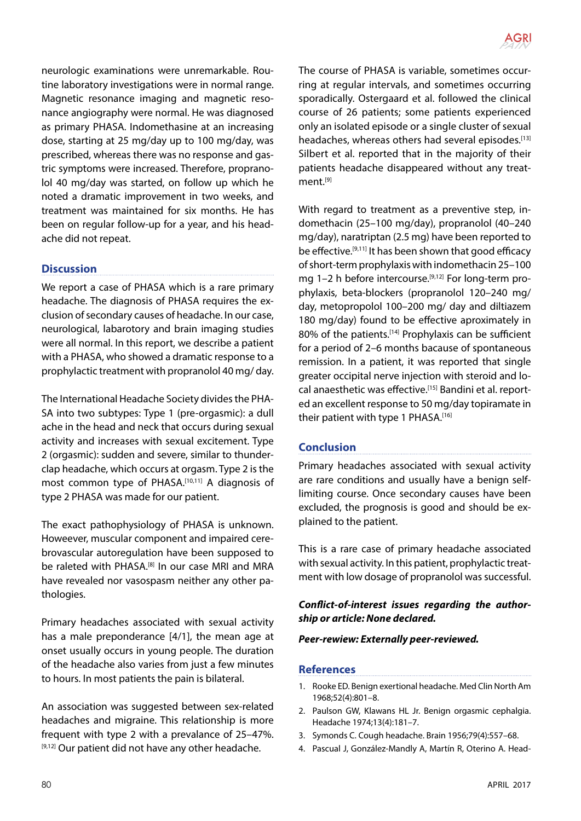

neurologic examinations were unremarkable. Routine laboratory investigations were in normal range. Magnetic resonance imaging and magnetic resonance angiography were normal. He was diagnosed as primary PHASA. Indomethasine at an increasing dose, starting at 25 mg/day up to 100 mg/day, was prescribed, whereas there was no response and gastric symptoms were increased. Therefore, propranolol 40 mg/day was started, on follow up which he noted a dramatic improvement in two weeks, and treatment was maintained for six months. He has been on regular follow-up for a year, and his headache did not repeat.

# **Discussion**

We report a case of PHASA which is a rare primary headache. The diagnosis of PHASA requires the exclusion of secondary causes of headache. In our case, neurological, labarotory and brain imaging studies were all normal. In this report, we describe a patient with a PHASA, who showed a dramatic response to a prophylactic treatment with propranolol 40 mg/ day.

The International Headache Society divides the PHA-SA into two subtypes: Type 1 (pre-orgasmic): a dull ache in the head and neck that occurs during sexual activity and increases with sexual excitement. Type 2 (orgasmic): sudden and severe, similar to thunderclap headache, which occurs at orgasm. Type 2 is the most common type of PHASA.<sup>[10,11]</sup> A diagnosis of type 2 PHASA was made for our patient.

The exact pathophysiology of PHASA is unknown. Howeever, muscular component and impaired cerebrovascular autoregulation have been supposed to be raleted with PHASA.<sup>[8]</sup> In our case MRI and MRA have revealed nor vasospasm neither any other pathologies.

Primary headaches associated with sexual activity has a male preponderance [4/1], the mean age at onset usually occurs in young people. The duration of the headache also varies from just a few minutes to hours. In most patients the pain is bilateral.

An association was suggested between sex-related headaches and migraine. This relationship is more frequent with type 2 with a prevalance of 25–47%. [9,12] Our patient did not have any other headache.

The course of PHASA is variable, sometimes occurring at regular intervals, and sometimes occurring sporadically. Ostergaard et al. followed the clinical course of 26 patients; some patients experienced only an isolated episode or a single cluster of sexual headaches, whereas others had several episodes.<sup>[13]</sup> Silbert et al. reported that in the majority of their patients headache disappeared without any treatment.[9]

With regard to treatment as a preventive step, indomethacin (25–100 mg/day), propranolol (40–240 mg/day), naratriptan (2.5 mg) have been reported to be effective.[9,11] It has been shown that good efficacy of short-term prophylaxis with indomethacin 25–100 mg 1–2 h before intercourse.<sup>[9,12]</sup> For long-term prophylaxis, beta-blockers (propranolol 120–240 mg/ day, metopropolol 100–200 mg/ day and diltiazem 180 mg/day) found to be effective aproximately in 80% of the patients.<sup>[14]</sup> Prophylaxis can be sufficient for a period of 2–6 months bacause of spontaneous remission. In a patient, it was reported that single greater occipital nerve injection with steroid and local anaesthetic was effective.[15] Bandini et al. reported an excellent response to 50 mg/day topiramate in their patient with type 1 PHASA.[16]

# **Conclusion**

Primary headaches associated with sexual activity are rare conditions and usually have a benign selflimiting course. Once secondary causes have been excluded, the prognosis is good and should be explained to the patient.

This is a rare case of primary headache associated with sexual activity. In this patient, prophylactic treatment with low dosage of propranolol was successful.

# *Conflict-of-interest issues regarding the authorship or article: None declared.*

### *Peer-rewiew: Externally peer-reviewed.*

## **References**

- 1. Rooke ED. Benign exertional headache. Med Clin North Am 1968;52(4):801–8.
- 2. Paulson GW, Klawans HL Jr. Benign orgasmic cephalgia. Headache 1974;13(4):181–7.
- 3. Symonds C. Cough headache. Brain 1956;79(4):557–68.
- 4. Pascual J, González-Mandly A, Martín R, Oterino A. Head-